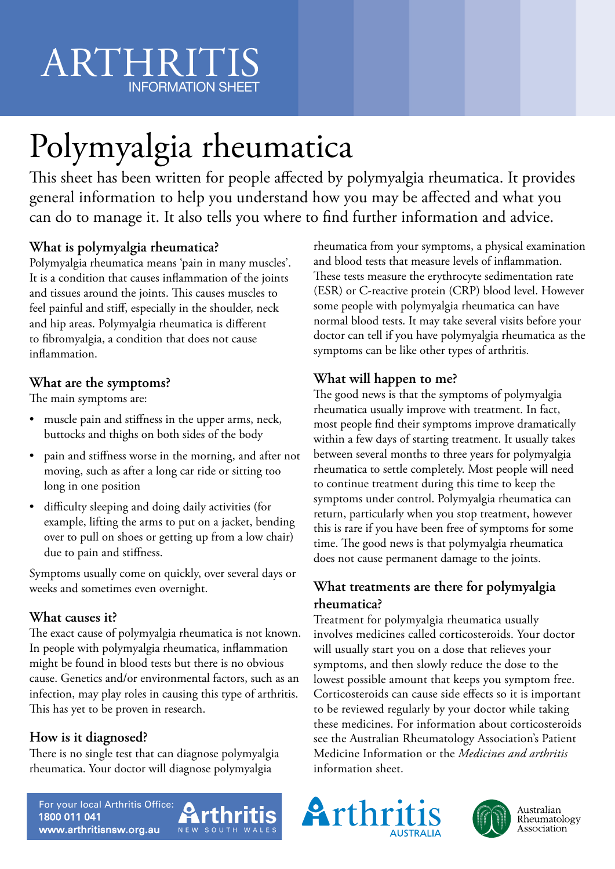# ARTHRITIS INFORMATION SHEET

# Polymyalgia rheumatica

This sheet has been written for people affected by polymyalgia rheumatica. It provides general information to help you understand how you may be affected and what you can do to manage it. It also tells you where to find further information and advice.

## **What is polymyalgia rheumatica?**

Polymyalgia rheumatica means 'pain in many muscles'. It is a condition that causes inflammation of the joints and tissues around the joints. This causes muscles to feel painful and stiff, especially in the shoulder, neck and hip areas. Polymyalgia rheumatica is different to fibromyalgia, a condition that does not cause inflammation.

### **What are the symptoms?**

The main symptoms are:

- muscle pain and stiffness in the upper arms, neck, buttocks and thighs on both sides of the body
- pain and stiffness worse in the morning, and after not moving, such as after a long car ride or sitting too long in one position
- difficulty sleeping and doing daily activities (for example, lifting the arms to put on a jacket, bending over to pull on shoes or getting up from a low chair) due to pain and stiffness.

Symptoms usually come on quickly, over several days or weeks and sometimes even overnight.

#### **What causes it?**

The exact cause of polymyalgia rheumatica is not known. In people with polymyalgia rheumatica, inflammation might be found in blood tests but there is no obvious cause. Genetics and/or environmental factors, such as an infection, may play roles in causing this type of arthritis. This has yet to be proven in research.

### **How is it diagnosed?**

There is no single test that can diagnose polymyalgia rheumatica. Your doctor will diagnose polymyalgia

rheumatica from your symptoms, a physical examination and blood tests that measure levels of inflammation. These tests measure the erythrocyte sedimentation rate (ESR) or C-reactive protein (CRP) blood level. However some people with polymyalgia rheumatica can have normal blood tests. It may take several visits before your doctor can tell if you have polymyalgia rheumatica as the symptoms can be like other types of arthritis.

### **What will happen to me?**

The good news is that the symptoms of polymyalgia rheumatica usually improve with treatment. In fact, most people find their symptoms improve dramatically within a few days of starting treatment. It usually takes between several months to three years for polymyalgia rheumatica to settle completely. Most people will need to continue treatment during this time to keep the symptoms under control. Polymyalgia rheumatica can return, particularly when you stop treatment, however this is rare if you have been free of symptoms for some time. The good news is that polymyalgia rheumatica does not cause permanent damage to the joints.

#### **What treatments are there for polymyalgia rheumatica?**

Treatment for polymyalgia rheumatica usually involves medicines called corticosteroids. Your doctor will usually start you on a dose that relieves your symptoms, and then slowly reduce the dose to the lowest possible amount that keeps you symptom free. Corticosteroids can cause side effects so it is important to be reviewed regularly by your doctor while taking these medicines. For information about corticosteroids see the Australian Rheumatology Association's Patient Medicine Information or the *Medicines and arthritis* information sheet.

For your local Arthritis Office: 1800 011 041 www.arthritisnsw.org.au

Arthritis NEW SOUTH WAI



Australian<br>Rheumatology Association